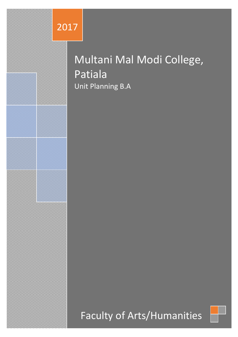

# Multani Mal Modi College, Patiala Unit Planning B.A

Faculty of Arts/Humanities

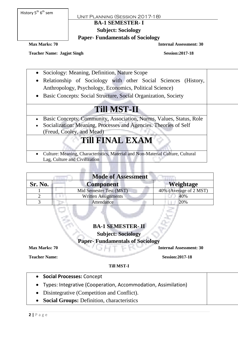History 5<sup>th</sup> 6<sup>th</sup> sem

Unit Planning (Session 2017-18)

#### **BA-1 SEMESTER- I**

**Subject: Sociology**

### **Paper- Fundamentals of Sociology**

**Max Marks: 70 Internal Assessment: 30**

Teacher Name: Jagjot Singh Session:2017-18

- Sociology: Meaning, Definition, Nature Scope
- Relationship of Sociology with other Social Sciences (History, Anthropology, Psychology, Economics, Political Science)
- Basic Concepts: Social Structure, Social Organization, Society

# **Till MST-II**

- Basic Concepts: Community, Association, Norms, Values, Status, Role
- Socialization: Meaning, Processes and Agencies. Theories of Self (Freud, Cooley, and Mead)

# **Till FINAL EXAM**

 Culture: Meaning, Characteristics, Material and Non-Material Culture, Cultural Lag, Culture and Civilization

| <b>Mode of Assessment</b> |                         |                        |  |
|---------------------------|-------------------------|------------------------|--|
| Sr. No.                   | <b>Component</b>        | <b>Weightage</b>       |  |
|                           | Mid Semester Test (MST) | 40% (Average of 2 MST) |  |
|                           | Written Assignments     | 40%                    |  |
|                           | Attendance              | 20%                    |  |

### **BA-1 SEMESTER- II**

**Subject: Sociology**

### **Paper- Fundamentals of Sociology**

**Teacher Name:** Session:2017-18

**Max Marks: 70 Internal Assessment: 30** 

#### **Till MST-I**

- **Social Processes:** Concept
- Types: Integrative (Cooperation, Accommodation, Assimilation)
- Disintegrative (Competition and Conflict).
- **Social Groups:** Definition, characteristics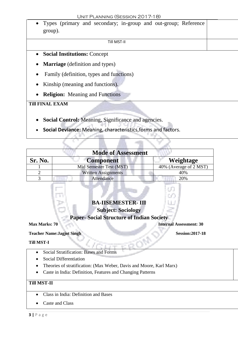Types (primary and secondary; in-group and out-group; Reference group).

#### Till MST-II

- **Social Institutions:** Concept
- **Marriage** (definition and types)
- Family (definition, types and functions)
- Kinship (meaning and functions).
- **Religion:** Meaning and Functions

**Till FINAL EXAM**

- **Social Control:** Meaning, Significance and agencies.
- **Social Deviance:** Meaning, characteristics,forms and factors.

| <b>Mode of Assessment</b> |                            |                        |  |
|---------------------------|----------------------------|------------------------|--|
| Sr. No.                   | <b>Component</b>           | Weightage              |  |
|                           | Mid Semester Test (MST)    | 40% (Average of 2 MST) |  |
|                           | <b>Written Assignments</b> | 40%                    |  |
|                           | Attendance                 | 20%                    |  |

### **BA-IISEMESTER- III**

**Subject: Sociology**

#### **Paper- Social Structure of Indian Society**

**Max Marks: 70 Internal Assessment: 30** 

#### **Teacher Name:Jagjot Singh Session:2017-18**

**Till MST-I**

- Social Stratification: Bases and Forms
- Social Differentiation
- Theories of stratification: (Max Weber, Davis and Moore, Karl Marx)
- Caste in India: Definition, Features and Changing Patterns

#### **Till MST-II**

- Class in India: Definition and Bases
- Caste and Class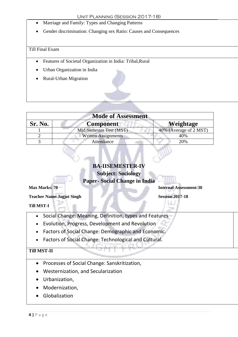- Marriage and Family: Types and Changing Patterns
- Gender discrimination: Changing sex Ratio: Causes and Consequences

- Features of Societal Organization in India: Tribal,Rural
- Urban Organization in India
- Rural-Urban Migration

| <b>Mode of Assessment</b> |                                      |                        |  |  |  |  |
|---------------------------|--------------------------------------|------------------------|--|--|--|--|
| Sr. No.                   | <b>Weightage</b><br><b>Component</b> |                        |  |  |  |  |
|                           | Mid Semester Test (MST)              | 40% (Average of 2 MST) |  |  |  |  |
|                           | <b>Written Assignments</b>           | 40%                    |  |  |  |  |
|                           | Attendance                           | 20%                    |  |  |  |  |

### **BA-IISEMESTER-IV Subject: Sociology**

**Paper- Social Change in India**

#### **Max Marks: 70 Internal Assessment:30**

**Teacher Name: Jagjot Singh Session: 2017-18** 

**Till MST-I**

- Social Change: Meaning, Definition, types and Features
- Evolution, Progress, Development and Revolution
- Factors of Social Change: Demographic and Economic.
- Factors of Social Change: Technological and Cultural.

#### **Till MST-II**

- Processes of Social Change: Sanskritization,
- Westernization, and Secularization
- Urbanization,
- Modernization,
- Globalization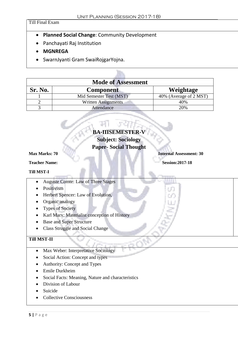- **Planned Social Change**: Community Development
- Panchayati Raj Institution
- **MGNREGA**
- SwarnJyanti Gram SwaiRojgarYojna.

B

| <b>Mode of Assessment</b>                |                            |                        |  |
|------------------------------------------|----------------------------|------------------------|--|
| Sr. No.<br>Weightage<br><b>Component</b> |                            |                        |  |
|                                          | Mid Semester Test (MST)    | 40% (Average of 2 MST) |  |
|                                          | <b>Written Assignments</b> | 40%                    |  |
|                                          | Attendance                 | 20%                    |  |

h.

| <b>BA-IIISEMESTER-V</b>                      |                                |
|----------------------------------------------|--------------------------------|
| <b>Subject: Sociology</b>                    |                                |
| <b>Paper-Social Thought</b>                  |                                |
| <b>Max Marks: 70</b>                         | <b>Internal Assessment: 30</b> |
| <b>Teacher Name:</b>                         | <b>Session:2017-18</b>         |
| <b>Till MST-I</b>                            |                                |
| <b>Auguste Comte: Law of Three Stages</b>    |                                |
| Positivism                                   |                                |
| Herbert Spencer: Law of Evolution,           |                                |
| Organic analogy                              |                                |
| <b>Types of Society</b>                      |                                |
| Karl Marx: Materialist conception of History |                                |
| <b>Base and Super Structure</b>              |                                |
| <b>Class Struggle and Social Change</b>      |                                |
| <b>Till MST-II</b>                           |                                |
| Max Weber: Interpretative Sociology          |                                |
| Social Action: Concept and types             |                                |
| Authority: Concept and Types                 |                                |
| Emile Durkheim                               |                                |

- Social Facts: Meaning, Nature and characteristics
- Division of Labour
- Suicide
- Collective Consciousness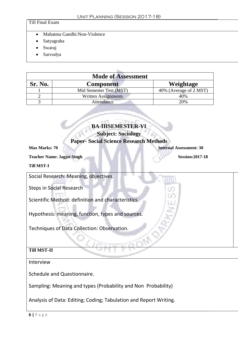- Mahatma Gandhi: Non-Violence
- Satyagraha
- Swaraj
- Sarvodya

| <b>Mode of Assessment</b>                |                            |                        |  |  |
|------------------------------------------|----------------------------|------------------------|--|--|
| Sr. No.<br>Weightage<br><b>Component</b> |                            |                        |  |  |
|                                          | Mid Semester Test (MST)    | 40% (Average of 2 MST) |  |  |
|                                          | <b>Written Assignments</b> | 40%                    |  |  |
|                                          | Attendance                 | 20%                    |  |  |

#### **BA-IIISEMESTER-VI**

#### **Subject: Sociology**

#### **Paper- Social Science Research Methods**

**Max Marks: 70 Internal Assessment: 30** 

**Teacher Name: Jagjot Singh Session:2017-18** 

#### **Till MST-I**

Social Research: Meaning, objectives.

Steps in Social Research

Scientific Method: definition and characteristics.

Hypothesis: meaning, function, types and sources.

Techniques of Data Collection: Observation.

#### **Till MST-II**

#### Interview

Schedule and Questionnaire.

Sampling: Meaning and types (Probability and Non Probability)

Analysis of Data: Editing; Coding; Tabulation and Report Writing.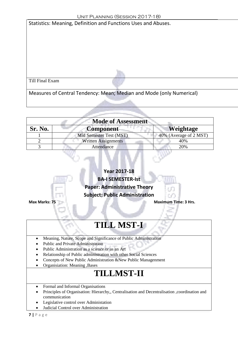| UNII FLANNING (SESSIUN ZU I 7-10)                                    |  |  |  |
|----------------------------------------------------------------------|--|--|--|
| Statistics: Meaning, Definition and Functions Uses and Abuses.       |  |  |  |
|                                                                      |  |  |  |
|                                                                      |  |  |  |
|                                                                      |  |  |  |
|                                                                      |  |  |  |
|                                                                      |  |  |  |
|                                                                      |  |  |  |
|                                                                      |  |  |  |
|                                                                      |  |  |  |
| Till Final Exam                                                      |  |  |  |
|                                                                      |  |  |  |
| Measures of Central Tendency: Mean; Median and Mode (only Numerical) |  |  |  |
|                                                                      |  |  |  |

| <b>Mode of Assessment</b>  |                        |  |  |
|----------------------------|------------------------|--|--|
| <b>Component</b>           | Weightage              |  |  |
| Mid Semester Test (MST)    | 40% (Average of 2 MST) |  |  |
| <b>Written Assignments</b> | 40%                    |  |  |
| Attendance                 | 20%                    |  |  |
|                            |                        |  |  |

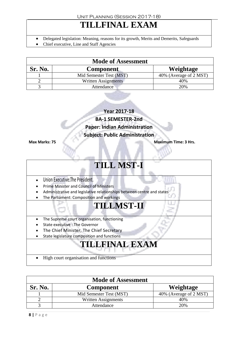### **TILLFINAL EXAM**

- Delegated legislation: Meaning, reasons for its growth, Merits and Demerits, Safeguards
- Chief executive, Line and Staff Agencies

| <b>Mode of Assessment</b>                |                         |                        |  |  |
|------------------------------------------|-------------------------|------------------------|--|--|
| Sr. No.<br>Weightage<br><b>Component</b> |                         |                        |  |  |
|                                          | Mid Semester Test (MST) | 40% (Average of 2 MST) |  |  |
|                                          | Written Assignments     | 40%                    |  |  |
|                                          | Attendance              | 20%                    |  |  |

**Year 2017-18**

**BA-1 SEMESTER-2nd**

**Paper: Indian Administration**

**Subject: Public Administration**

**Max Marks: 75 Maximum Time: 3 Hrs.**

### **TILL MST-I**

- Union Executive:The President.
- **•** Prime Minister and Council of Ministers
- Administrative and legislative relationships between centre and states
- The Parliament: Composition and workings

### **TILLMST-II**

- The Supreme court organisation, functioning
- State executive : The Governor
- The Chief Minister, The Chief Secretary
- State legislature composition and functions

# **TILLFINAL EXAM**

High court organisation and functions

| <b>Mode of Assessment</b>                |                         |                        |  |  |
|------------------------------------------|-------------------------|------------------------|--|--|
| Sr. No.<br>Weightage<br><b>Component</b> |                         |                        |  |  |
|                                          | Mid Semester Test (MST) | 40% (Average of 2 MST) |  |  |
|                                          | Written Assignments     | 40%                    |  |  |
|                                          | Attendance              | 20%                    |  |  |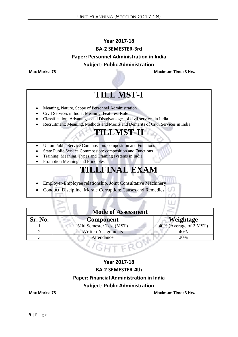### **Year 2017-18 BA-2 SEMESTER-3rd Paper: Personnel Administration in India Subject: Public Administration**

**Max Marks: 75 Maximum Time: 3 Hrs.**

### **TILL MST-I**

- Meaning, Nature, Scope of Personnel Administration
- Civil Services in India: Meaning, Features, Role
- Classification, Advantages and Disadvantages of civil services in India
- Recruitment: Meaning, Methods and Merits and Demerits of Civil Services in India

### **TILLMST-II**

- Union Public Service Commossion: composition and Functions
- State Public Service Commossion: composition and Functions
- Training: Meaning, Types and Training systems in India
- Promotion Meaning and Principles

### **TILLFINAL EXAM**

- Employer-Employee relationship, Joint Consultative Machinery
- Conduct, Discipline, Morale Corruption: Causes and Remedies

| <b>Mode of Assessment</b> |                            |                        |  |
|---------------------------|----------------------------|------------------------|--|
| Sr. No.                   | Component                  | Weightage              |  |
|                           | Mid Semester Test (MST)    | 40% (Average of 2 MST) |  |
|                           | <b>Written Assignments</b> | 40%                    |  |
|                           | Attendance                 | 20%                    |  |

# $\leq$  6  $\rm{H}$  1

### **Year 2017-18 BA-2 SEMESTER-4th Paper: Financial Administration in India Subject: Public Administration**

**Max Marks: 75 Maximum Time: 3 Hrs.**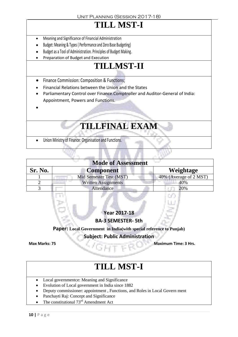# **TILL MST-I**

- Meaning and Significance of Financial Administration
- Budget: Meaning & Types ( Performance and Zero Base Budgeting)
- Budget as a Tool of Administration. Principles of Budget Making.
- Preparation of Budget and Execution

# **TILLMST-II**

- **•** Finance Commission: Composition & Functions;
- Financial Relations between the Union and the States
- Parliamentary Control over Finance.Comptroller and Auditor-General of India: Appointment, Powers and Functions.
- $\bullet$

### **TILLFINAL EXAM**

Union Ministry of Finance: Organisation and Functions.

| <b>Mode of Assessment</b> |                            |                        |
|---------------------------|----------------------------|------------------------|
| Sr. No.                   | <b>Component</b>           | Weightage              |
|                           | Mid Semester Test (MST)    | 40% (Average of 2 MST) |
|                           | <b>Written Assignments</b> | 40%                    |
|                           | Attendance                 | 20%                    |

**Year 2017-18**

**BA-3 SEMESTER- 5th**

**Paper: Local Government in India(with special reference to Punjab)**

**Subject: Public Administration**

**Max Marks: 75 Maximum Time: 3 Hrs.**

### **TILL MST-I**

- Local governmentee: Meaning and Significance
- Evolution of Local government in India since 1882
- Deputy commissioner: appointment, Functions, and Roles in Local Govern ment
- Panchayti Raj: Concept and Significance
- The constitutional 73<sup>rd</sup> Amendment Act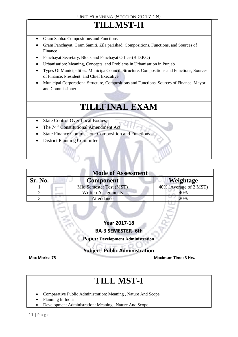### **TILLMST-II**

- Gram Sabha: Compositions and Functions
- Gram Panchayat, Gram Samiti, Zila parishad: Compositions, Functions, and Sources of Finance
- Panchayat Secretary, Block and Panchayat Officer(B.D.P.O)
- Urbanisation: Meaning, Concepts, and Problems in Urbanisation in Punjab
- Types Of Municipalities: Municipa Council: Structure, Compositions and Functions, Sources of Finance, President and Chief Executive
- Municipal Corporation: Structure, Compositions and Functions, Sources of Finance, Mayor and Commissioner

### **TILLFINAL EXAM**

- State Control Over Local Bodies,
- The  $74<sup>th</sup>$  Constitutional Amendment Act
- State Finance Commission: Composition and Functions
- District Planning Committee

| <b>Mode of Assessment</b> |                         |                        |
|---------------------------|-------------------------|------------------------|
| Sr. No.                   | <b>Component</b>        | Weightage              |
|                           | Mid Semester Test (MST) | 40% (Average of 2 MST) |
|                           | Written Assignments     | 40%                    |
|                           | Attendance              | 20%                    |

**Year 2017-18**

**BA-3 SEMESTER- 6th**

 **Paper: Development Administration**

**Subject: Public Administration**

**Max Marks: 75 Maximum Time: 3 Hrs.**

### **TILL MST-I**

- Comparative Public Administration: Meaning , Nature And Scope
- Planning In India
- Development Administration: Meaning , Nature And Scope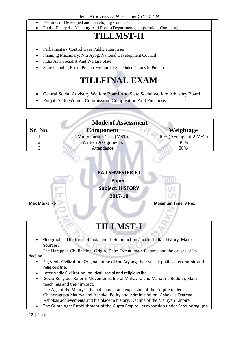- Features of Developed and Developing Countries
- Public Enterprise Meaning And Forms(Departments, corporation, Company)

### **TILLMST-II**

- Parliamentary Control Over Public enterprises
- Planning Machinery: Niti Ayog, National Development Council
- India As a Socialist And Welfare State
- State Planning Board Punjab, welfare of Scheduled Castes in Punjab

# **TILLFINAL EXAM**

- Central Social Advisory Welfare Board And State Social welfare Advisory Board
- Punjab State Women Commission: Composition And Functions

| <b>Mode of Assessment</b> |                            |                        |
|---------------------------|----------------------------|------------------------|
| Sr. No.                   | <b>Component</b>           | <b>Weightage</b>       |
|                           | Mid Semester Test (MST)    | 40% (Average of 2 MST) |
|                           | <b>Written Assignments</b> | 40%                    |
|                           | Attendance                 | 20%                    |

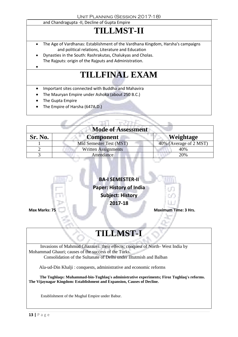#### and Chandragupta -II, Decline of Gupta Empire

# **TILLMST-II**

- The Age of Vardhanas: Establishment of the Vardhana Kingdom, Harsha's campaigns and political relations, Literature and Education
- Dynasties in the South: Rashrakutas, Chalukyas and Cholas. The Rajputs: origin of the Rajputs and Administration.

# **TILLFINAL EXAM**

- Important sites connected with Buddha and Mahavira
- The Mauryan Empire under Ashoka (about 250 B.C.)
- The Gupta Empire

 $\bullet$ 

The Empire of Harsha (647A.D.)

| <b>Mode of Assessment</b> |                            |                        |
|---------------------------|----------------------------|------------------------|
| Sr. No.                   | <b>Component</b>           | <b>Weightage</b>       |
|                           | Mid Semester Test (MST)    | 40% (Average of 2 MST) |
|                           | <b>Written Assignments</b> | 40%                    |
|                           | Attendance                 | 20%                    |



# **TILLMST-I**

Invasions of Mahmud Ghaznavi: their effects; conquest of North- West India by Mohammad Ghauri; causes of the success of the Turks. Consolidation of the Sultanate of Delhi under IItutmish and Balban

Ala-ud-Din Khalji : conquests, administrative and economic reforms

 **The Tughlaqs: Muhammad-bin-Tughlaq's administrative experiments; Firoz Tughlaq's reforms. The Vijaynagar Kingdom: Establishment and Expansion, Causes of Decline.** 

Establishment of the Mughal Empire under Babur.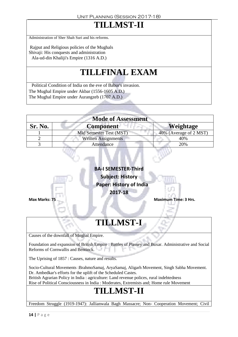### **TILLMST-II**

Administration of Sher Shah Suri and his reforms.

Rajput and Religious policies of the Mughals Shivaji: His conquests and administration Ala-ud-din Khaliji's Empire (1316 A.D.)

### **TILLFINAL EXAM**

Political Condition of India on the eve of Babur's invasion. The Mughal Empire under Akbar (1556-1605 A.D.) The Mughal Empire under Aurangzeb (1707 A.D.)

| <b>Mode of Assessment</b> |                            |                        |
|---------------------------|----------------------------|------------------------|
| Sr. No.                   | <b>Component</b>           | <b>Weightage</b>       |
|                           | Mid Semester Test (MST)    | 40% (Average of 2 MST) |
|                           | <b>Written Assignments</b> | 40%                    |
|                           | Attendance                 | 20%                    |
|                           |                            |                        |



Dr. Ambedkar's efforts for the uplift of the Scheduled Castes. British Agrarian Policy in India : agriculture: Land revenue polices, rural indebtedness Rise of Political Consciousness in India : Moderates, Extremists and; Home rule Movement

### **TILLMST-II**

Freedom Struggle (1919-1947): Jallianwala Bagh Massacre; Non- Cooperation Movement; Civil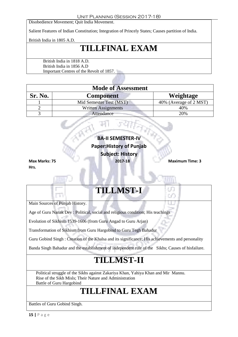Disobedience Movement; Quit India Movement.

Salient Features of Indian Constitution; Integration of Princely States; Causes partition of India.

British India in 1805 A.D.

### **TILLFINAL EXAM**

British India in 1818 A.D. British India in 1856 A.D Important Centres of the Revolt of 1857.

| <b>Mode of Assessment</b> |                            |                        |
|---------------------------|----------------------------|------------------------|
| <b>Sr. No.</b>            | <b>Component</b>           | Weightage              |
|                           | Mid Semester Test (MST)    | 40% (Average of 2 MST) |
|                           | <b>Written Assignments</b> | 40%                    |
|                           | Attendance                 | 20%                    |

|               | <b>BA-II SEMESTER-IV</b>        |                        |
|---------------|---------------------------------|------------------------|
|               | <b>Paper: History of Punjab</b> |                        |
|               | <b>Subject: History</b>         |                        |
| Max Marks: 75 | 2017-18                         | <b>Maximum Time: 3</b> |

**Hrs.**

### **TILLMST-I**

Main Sources of Punjab History.

Age of Guru Nanak Dev : Political, social and religious condition; His teachings

Evolution of Sikhism 1539-1606 (from Guru Angad to Guru Arjan)

Transformation of Sikhism from Guru Hargobind to Guru Tegh Bahadur

Guru Gobind Singh : Creation of the Khalsa and its significance; His achievements and personality

Banda Singh Bahadur and the establishment of independent rule of the Sikhs; Causes of hisfailure.

### **TILLMST-II**

Political struggle of the Sikhs against Zakariya Khan, Yahiya Khan and Mir Mannu. Rise of the Sikh Misls; Their Nature and Administration Battle of Guru Hargobind

### **TILLFINAL EXAM**

Battles of Guru Gobind Singh.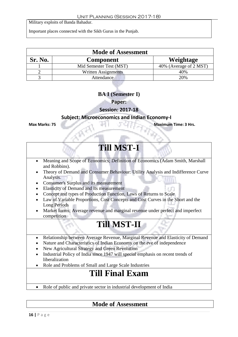Military exploits of Banda Bahadur.

Important places connected with the Sikh Gurus in the Punjab.

| <b>Mode of Assessment</b> |                            |                        |  |
|---------------------------|----------------------------|------------------------|--|
| Sr. No.                   | <b>Component</b>           | Weightage              |  |
|                           | Mid Semester Test (MST)    | 40% (Average of 2 MST) |  |
|                           | <b>Written Assignments</b> | 40%                    |  |
|                           | Attendance                 | 20%                    |  |

#### **BA I (Semester I)**

**Paper:** 

#### **Session: 2017-18**

#### **Subject: Microeconomics and Indian Economy-I**

**Max Marks: 75 Maximum Time: 3 Hrs.**

### **Till MST-I**

- Meaning and Scope of Economics; Definition of Economics (Adam Smith, Marshall and Robbins).
- Theory of Demand and Consumer Behaviour: Utility Analysis and Indifference Curve Analysis.
- Consumer's Surplus and its measurement
- Elasticity of Demand and its measurement
- Concept and types of Production Function, Laws of Returns to Scale
- Law of Variable Proportions, Cost Concepts and Cost Curves in the Short and the Long Periods
- Market forms; Average revenue and marginal revenue under perfect and imperfect competition

### **Till MST-II**

- Relationship between Average Revenue, Marginal Revenue and Elasticity of Demand
- Nature and Characteristics of Indian Economy on the eve of independence
- New Agricultural Strategy and Green Revolution
- Industrial Policy of India since 1947 will special emphasis on recent trends of liberalization
- Role and Problems of Small and Large Scale Industries

### **Till Final Exam**

• Role of public and private sector in industrial development of India

### **Mode of Assessment**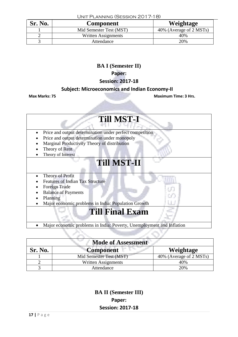| Sr. No. | Component               | Weightage               |
|---------|-------------------------|-------------------------|
|         | Mid Semester Test (MST) | 40% (Average of 2 MSTs) |
|         | Written Assignments     | 40%                     |
|         | Attendance              | 20%                     |

#### Unit Planning (Session 2017-18)

#### **BA I (Semester II)**

#### **Paper:**

#### **Session: 2017-18**

#### **Subject: Microeconomics and Indian Economy-II**

**Max Marks: 75 Maximum Time: 3 Hrs.** 

| <b>Till MST-I</b>                                                     |  |  |
|-----------------------------------------------------------------------|--|--|
| Price and output determination under perfect competition              |  |  |
| Price and output determination under monopoly                         |  |  |
| Marginal Productivity Theory of distribution                          |  |  |
| Theory of Rent                                                        |  |  |
| Theory of Interest                                                    |  |  |
| <b>Till MST-II</b>                                                    |  |  |
| Theory of Profit                                                      |  |  |
| <b>Features of Indian Tax Structure</b>                               |  |  |
| Foreign Trade                                                         |  |  |
| <b>Balance of Payments</b>                                            |  |  |
| Planning                                                              |  |  |
| Major economic problems in India: Population Growth                   |  |  |
| <b>Till Final Exam</b>                                                |  |  |
| Major economic problems in India: Poverty, Unemployment and Inflation |  |  |
|                                                                       |  |  |

| <b>Mode of Assessment</b> |                            |                         |
|---------------------------|----------------------------|-------------------------|
| Sr. No.                   | <b>Component</b>           | Weightage               |
|                           | Mid Semester Test (MST)    | 40% (Average of 2 MSTs) |
|                           | <b>Written Assignments</b> | 40%                     |
|                           | Attendance                 | 20%                     |

**BA II (Semester III) Paper: Session: 2017-18**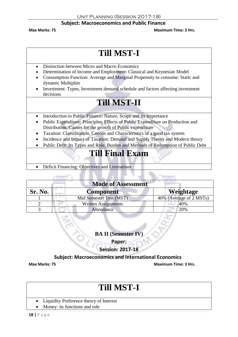#### **Subject: Macroeconomics and Public Finance**

**Max Marks: 75 Maximum Time: 3 Hrs.**

### **Till MST-I**

- Distinction between Micro and Macro Economics
- Determination of Income and Employment: Classical and Keynesian Model
- Consumption Function: Average and Marginal Propensity to consume: Static and dynamic Multiplier
- Investment: Types, Investment demand schedule and factors affecting investment decisions

### **Till MST-II**

- Introduction to Public Finance: Nature, Scope and its Importance
- Public Expenditure: Principles, Effects of Public Expenditure on Production and Distribution, Causes for the growth of Public expenditure
- Taxation: Classification, Canons and Characteristics of a good tax system
- Incidence and Impact of Taxation: Demand and Supply Theory and Modern theory
- Public Debt: Its Types and Role. Burden and Methods of Redemption of Public Debt

### **Till Final Exam**

Deficit Financing: Objectives and Limitations

| <b>Mode of Assessment</b> |                            |                         |
|---------------------------|----------------------------|-------------------------|
| Sr. No.                   | <b>Component</b>           | Weightage               |
|                           | Mid Semester Test (MST)    | 40% (Average of 2 MSTs) |
|                           | <b>Written Assignments</b> | 40%                     |
|                           | Attendance                 | 20%                     |

**BA II (Semester IV)** 

**Paper:** 

**Session: 2017-18**

#### **Subject: Macroeconomics and International Economics**

**Max Marks: 75 Maximum Time: 3 Hrs.**

### **Till MST-I**

- Liquidity Preference theory of Interest
- Money: its functions and role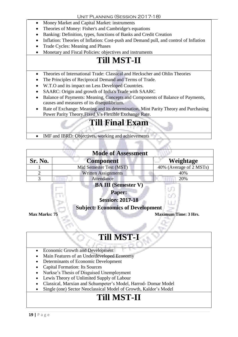- Money Market and Capital Market: instruments
- Theories of Money: Fisher's and Cambridge's equations
- Banking: Definition, types, functions of Banks and Credit Creation
- Inflation: Theories of Inflation: Cost-push and Demand pull, and control of Inflation
- Trade Cycles: Meaning and Phases
- Monetary and Fiscal Policies: objectives and instruments

### **Till MST-II**

- Theories of International Trade: Classical and Heckscher and Ohlin Theories
- The Principles of Reciprocal Demand and Terms of Trade.
- W.T.O and its impact on Less Developed Countries.
- SAARC: Origin and growth of India's Trade with SAARC
- Balance of Payments: Meaning, Concepts and Components of Balance of Payments, causes and measures of its disequilibrium.
- Rate of Exchange: Meaning and its determination, Mint Parity Theory and Purchasing Power Parity Theory.Fixed V's Flexible Exchange Rate.

### **Till Final Exam**

• IMF and IBRD: Objectives, working and achievements

| <b>Mode of Assessment</b>                    |                                     |                         |
|----------------------------------------------|-------------------------------------|-------------------------|
| Sr. No.                                      | <b>Component</b><br><b>Contract</b> | Weightage               |
|                                              | Mid Semester Test (MST)             | 40% (Average of 2 MSTs) |
|                                              | <b>Written Assignments</b>          | 40%                     |
|                                              | Attendance                          | 20%                     |
| $\mathbf{r}$ . The $\alpha$<br>$\rightarrow$ |                                     |                         |

#### **BA III (Semester V)**

#### **Paper:**

#### **Session: 2017-18**

#### **Subject: Economics of Development**

**Max Marks: 75 Maximum Time: 3 Hrs.** 

### **Till MST-I**

- Economic Growth and Development
- Main Features of an Underdeveloped Economy
- Determinants of Economic Development
- Capital Formation: Its Sources
- Nurkse's Thesis of Disguised Unemployment
- Lewis Theory of Unlimited Supply of Labour
- Classical, Marxian and Schumpeter's Model, Harrod- Domar Model
- Single (one) Sector Neoclassical Model of Growth, Kaldor's Model

### **Till MST-II**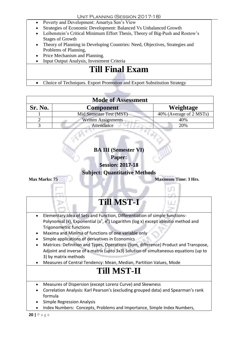- Poverty and Development: Amartya Sen's View
- Strategies of Economic Development: Balanced Vs Unbalanced Growth
- Leibenstein's Critical Minimum Effort Thesis, Theory of Big-Push and Rostow's Stages of Growth
- Theory of Planning in Developing Countries: Need, Objectives, Strategies and Problems of Planning,
- Price Mechanism and Planning.
- Input Output Analysis, Investment Criteria

• Choice of Techniques. Export Promotion and Export Substitution Strategy

| <b>Mode of Assessment</b> |                            |                         |  |
|---------------------------|----------------------------|-------------------------|--|
| Sr. No.                   | <b>Component</b>           | Weightage               |  |
|                           | Mid Semester Test (MST)    | 40% (Average of 2 MSTs) |  |
|                           | <b>Written Assignments</b> | 40%                     |  |
|                           | Attendance                 | 20%                     |  |

#### **BA III (Semester VI)**

**Paper:** 

**Session: 2017-18**

**Subject: Quantitative Methods**

**Max Marks: 75 Maximum Time: 3 Hrs.** 97 **Till MST-I** Elementary Idea of Sets and Function, Differentiation of simple functions-Polynomial (x), Exponential (a<sup>x</sup>, e<sup>x</sup>) Logarithm (log x) except abinitio method and Trigonometric functions Maxima and Minima of functions of one variable only Simple applications of derivatives in Economics Matrices: Definition and Types, Operations (Sum, difference) Product and Transpose, Adjoint and inverse of a matrix (upto 3x3) Solution of simultaneous equations (up to 3) by matrix methods Measures of Central Tendency: Mean, Median, Partition Values, Mode **Till MST-II** Measures of Dispersion (except Lorenz Curve) and Skewness Correlation Analysis: Karl Pearson's (excluding grouped data) and Spearman's rank formula Simple Regression Analysis

• Index Numbers: Concepts, Problems and Importance, Simple Index Numbers,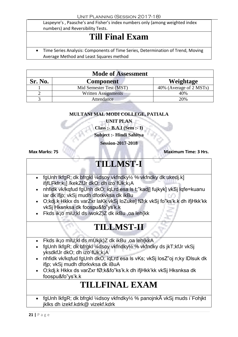Laspeyre's , Paasche's and Fisher's index numbers only (among weighted index numbers) and Reversibility Tests.

### **Till Final Exam**

 Time Series Analysis: Components of Time Series, Determination of Trend, Moving Average Method and Least Squares method

| <b>Mode of Assessment</b> |                            |                         |
|---------------------------|----------------------------|-------------------------|
| Sr. No.                   | <b>Component</b>           | Weightage               |
|                           | Mid Semester Test (MST)    | 40% (Average of 2 MSTs) |
|                           | <b>Written Assignments</b> | 40%                     |
|                           | Attendance                 | 20%                     |

#### **MULTANI MAL MODI COLLEGE, PATIALA**

**UNIT PLAN Class :- B.A.I (Sem :- I)**

**Subject :- Hindi Sahitya**

**Session-2017-2018**

**Max Marks: 75 Maximum Time: 3 Hrs.**

### **TILLMST-I**

- fgUnh lkfgR; dk bfrgkl ¼dsoy vkfndky½ % vkfndky dk ukedj.k] ifjfLFkfr;k¡] /kekZfJr dkO; dh izo`fÙk;k¡A
- nhfidk vk/kqfud fgUnh dkO; iqLrd esa ls t;"kadj] fujkyk] vkSj lqfe=kuanu iar dk ifjp; vkSj mudh dforkvksa dk ikBu
- O;kdj.k Hkkx ds varZxr laKk vkSj loZuke] fØ;k vkSj fo"ks'k.k dh ifjHkk'kk vkSj Hksnksa dk foospu&fo"ys'k.k
- Fkds ik¡o miU;kl ds iwokZ)Z dk ikBu ,oa leh{kk

### **TILLMST-II**

- Fkds ikjo miU;kl ds mÙkik)Z dk ikBu ,oa leh{kkA
- fgUnh lkfgR; dk bfrgkl ¼dsoy vkfndky½ % vkfndky ds jkT;kfJr vkSj yksdkfJr dkO; dh izo`fÙk;k¡A
- nhfidk vk/kqfud fgUnh dkO; iqLrd esa ls vKs; vkSj losZ"oj n;ky IDIsuk dk ifjp; vkSj mudh dforkvksa dk iBuA
- O;kdj.k Hkkx ds varZxr fØ;k&fo"ks'k.k dh ifjHkk'kk vkSj Hksnksa dk foospu&fo"ys'k.k

### **TILLFINAL EXAM**

 fgUnh lkfgR; dk bfrgkl ¼dsoy vkfndky½ % panojnkà vkSj muds i`Fohjkt jklks dh izekf.kdrk@ vizekf.kdrk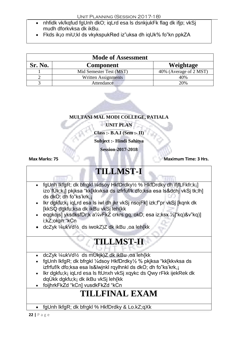- nhfidk vk/kqfud fgUnh dkO; iqLrd esa ls dsnkjukFk flag dk ifjp; vkSj mudh dforkvksa dk ikBu.
- Fkds ik¡o miU;kl ds vkykspukRed iz"uksa dh iqUk% fo"kn ppkZA

| <b>Mode of Assessment</b> |                         |                        |
|---------------------------|-------------------------|------------------------|
| Sr. No.                   | <b>Component</b>        | Weightage              |
|                           | Mid Semester Test (MST) | 40% (Average of 2 MST) |
|                           | Written Assignments     | 40%                    |
|                           | Attendance              | 20%                    |

#### **MULTANI MAL MODI COLLEGE, PATIALA**

**UNIT PLAN**

**Class :- B.A.I (Sem :- II)**

**Subject :- Hindi Sahitya**

**Session-2017-2018**

**Max Marks: 75 Maximum Time: 3 Hrs.** 

### **TILLMST-I**

- fgUnh lkfgR; dk bfrgkl ¼dsoy HkfDrdky½ % HkfDrdky dh ifjfLFkfr;k¡] izo`fÙk;k¡] pkjksa "kk[kkvksa ds izfrfuf/k dfo;ksa esa ls&dchj vkSj tk;lh] ds dkO; dh fo"ks'krk,¡
- lkr dgkfu;k¡ iqLrd esa ls iwl dh jkr vkSj nsojFk] izk;f"pr vkSj [kqnk dk [kkSQ dgkfu;ksa dk ikBu vkSj leh{kk
- eqqkojs] yksdksfDr;k a¼vFkZ crkrs gq, okD; esa iz;ksx ¼]"kq)&v"kq)] i;kZ;okph "kCn
- dcZyk ¼ukVd½ ds iwokZ)Z dk ikBu ,oa leh{kk

### **TILLMST-II**

- dcZyk ¼ukVd½ ds mÙkjk)Z dk ikBu ,oa leh{kk
- fgUnh lkfgR; dk bfrgkl ¼dsov HkfDrdky½ % pkiksa "kk[kkvksa ds izfrfuf/k dfo;ksa esa ls&lwjnkl rqylhnkl ds dkO; dh fo"ks'krk,¡
- Ikr dgkfu;k<sub>i</sub> igLrd esa Is ftUnxh vkSj xgykc ds Qwy rFkk ijekRek dk dqÙkk dgkfu;k¡ dk ikBu vkSj leh{kk
- foijhrkFkZd "kCn] vusdkFkZd "kCn

### **TILLFINAL EXAM**

fgUnh lkfgR; dk bfrgkl % HkfDrdky & Lo.kZ;qXk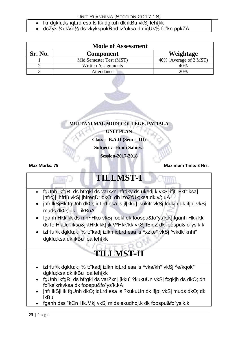Unit Planning (Session 2017-18)

- lkr dgkfu;k¡ iqLrd esa ls ltk dgkuh dk ikBu vkSj leh{kk
- dcZyk ¼ukVd½ ds vkykspukRed iz"uksa dh iqUk% fo"kn ppkZA

| <b>Mode of Assessment</b> |                         |                        |
|---------------------------|-------------------------|------------------------|
| Sr. No.                   | <b>Component</b>        | Weightage              |
|                           | Mid Semester Test (MST) | 40% (Average of 2 MST) |
|                           | Written Assignments     | 40%                    |
|                           | Attendance              | 20%                    |



**Class :- B.A.II (Sem :- III)**

**Subject :- Hindi Sahitya**

**Session-2017-2018**

**Max Marks: 75 Maximum Time: 3 Hrs.**

# **TILLMST-I**

- fgUnh lkfgR; ds bfrgkl ds varxZr jhfrdky ds ukedj.k vkSj ifjfLFkfr;ksa] jhfrc)] jhfrfl) vkSj jhfreqDr dkO; dh izoZfÙk;ksa dk v/;;uA
- jhfr lkSjHk fgUnh dkO; iqLrd esa ls jl[kku] lsukifr vkSj fcgkjh dk ifjp; vkSj muds dkO; dk ikBuA
- fganh Hkk'kk ds mn~Hko vkSj fodkl dk foospu&fo"ys'k.k] fganh Hkk'kk ds fofHkUu :iksa&jktHkk'kk] jk'VªHkk'kk vkSj lEidZ dk foospu&fo"ys'k.k
- izfrfuf/k dgkfu;ki % t;"kadj izlkn iqLrd esa ls ^xzke\* vkSj ^vkdk"knhi\* dgkfu;ksa dk ikBu ,oa leh{kk

# **TILLMST-II**

- izfrfuf/k dgkfu;ki % t;"kadj izlkn iqLrd esa ls ^vka/kh\* vkSj ^e/kqok\* dgkfu;ksa dk ikBu ,oa leh{kk
- fgUnh lkfgR; ds bfrgkl ds varZxr jl[kku] ?kukuUn vkSj fcgkjh ds dkO; dh fo"ks'krkvksa dk foospu&fo"ys'k.kA
- jhfr lkSjHk fgUnh dkO; iqLrd esa ls ?kukuUn dk ifjp; vkSj muds dkO; dk ikBu
- fganh dss "kCn Hk.Mkj vkSj mlds ekudhdj.k dk foospu&fo"ys'k.k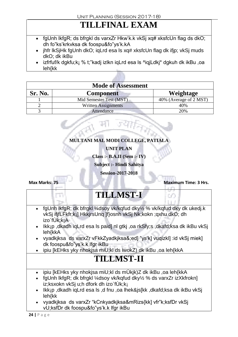### **TILLFINAL EXAM**

- fgUnh lkfgR; ds bfrgkl ds varxZr Hkw'k.k vkSj xq# xksfcUn flag ds dkO; dh fo"ks'krkvksa dk foospu&fo"ys'k.kA
- jhfr lkSjHk fgUnh dkO; igLrd esa ls xq# xksfcUn flag dk ifjp; vkSj muds dkO; dk ikBu
- izfrfuf/k dgkfu;k¡ % t;"kadj izlkn iqLrd esa ls ^iqjLdkj\* dgkuh dk ikBu ,oa leh{kk

| <b>Mode of Assessment</b> |                            |                        |
|---------------------------|----------------------------|------------------------|
| <b>Sr. No.</b>            | <b>Component</b>           | Weightage              |
|                           | Mid Semester Test (MST)    | 40% (Average of 2 MST) |
|                           | <b>Written Assignments</b> | 40%                    |
|                           | Attendance                 | 20%                    |



**UNIT PLAN**

**Class :- B.A.II (Sem :- IV)**

**Subject :- Hindi Sahitya**

**Session-2017-2018**

**Max Marks: 75 Maximum Time: 3 Hrs.**

### **TILLMST-I**

- fgUnh lkfgR; dk bfrgkl ¼dsoy vk/kqfud dky½ % vk/kqfud dky dk ukedj.k vkSj ifjfLFkfr;k¡] HkkjrsUnq ]f}osnh vkSj Nk;kokn ;qxhu dkO; dh izo`fÙk;k¡A
- Ikk¡p ,dkadh iqLrd esa ls paid] nl gtkj ,oa rkSfy;s ,dkafd;ksa dk ikBu vkSj leh{kkA
- vyadkjksa ds varxZr vFkkZyadkjksa&;ed] "ys'k] vuqizkl] :id vkSj miek] dk foospu&fo"ys'k.k lfgr ikBu
- ipiu [kEHks yky nhokjsa miU;kl ds iwokZ) dk ikBu ,oa leh{kkA

### **TILLMST-II**

- ipiu [kEHks yky nhokjsa miU;kl ds mÙkjk)Z dk ikBu ,oa leh{kkA
- fgUnh lkfgR; dk bfrgkl ¼dsoy vk/kgfud dky½ % ds varxZr izXkfrokn] iz;ksxokn vkSj u;h dfork dh izo`fÙk;k¡
- Ikk¡p ,dkadh iqLrd esa ls ,d fnu ,oa lhek&js[kk ,dkafd;ksa dk ikBu vkSj leh{kk
- vyadkjksa ds varxZr "kCnkyadkjksa&mRizs{kk] vfr"k;ksfDr vkSj vU;ksfDr dk foospu&fo"ys'k.k lfgr ikBu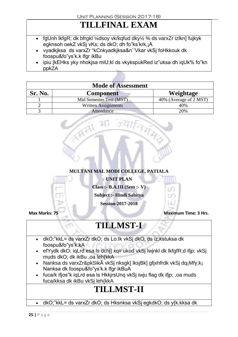### **TILLFINAL EXAM**

- fgUnh lkfgR; dk bfrgkl ¼dsoy vk/kqfud dky½ % ds varxZr izlkn] fujkyk egknsoh oekZ vkSj vKs; ds dkO; dh fo"ks'krk,¡A
- vyadkjksa ds varxZr "kCnkyadkjksa&n`'Vkar vkSj foHkkouk dk foospu&fo"ys'k.k lfgr ikBu
- ipiu [kEHks yky nhokjsa miU;kl ds vkykspukRed iz"uksa dh iqUk% fo"kn ppkZA

| <b>Mode of Assessment</b> |                            |                        |
|---------------------------|----------------------------|------------------------|
| <b>Sr. No.</b>            | <b>Component</b>           | Weightage              |
|                           | Mid Semester Test (MST)    | 40% (Average of 2 MST) |
|                           | <b>Written Assignments</b> | 40%                    |
|                           | Attendance                 | 20%                    |

**MULTANI MAL MODI COLLEGE, PATIALA**

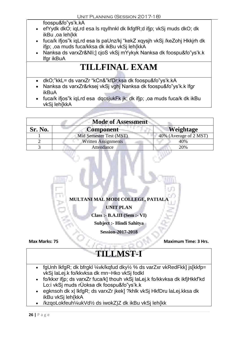foospu&fo"ys'k.kA

- efYydk dkO; iqLrd esa ls rqylhnkl dk lkfgfR;d ifjp; vkSj muds dkO; dk ikBu ,oa leh{kk
- fuca/k ifjos"k iqLrd esa ls paUnz/kj "kekZ xqysjh vkSj /keZohj Hkkjrh dk ifip: .oa muds fuca/kksa dk ikBu vkSi leh{kkA
- Nanksa ds varxZr&NIi;] cjoS vkSj mYykyk Nanksa dk foospu&fo"ys'k.k lfgr ikBuA

### **TILLFINAL EXAM**

- dkO;"kkL= ds varxZr "kCn&"kfDr;ksa dk foospu&fo"ys'k.kA
- Nanksa ds varxZr&rksej vkSj vghj Nanksa dk foospu&fo"ys'k.k lfgr ikBuA
- fuca/k ifjos"k iqLrd esa dqcsjukFk jk; dk ifjp; ,oa muds fuca/k dk ikBu vkSj leh{kkA

| <b>Mode of Assessment</b>                       |                            |                        |  |
|-------------------------------------------------|----------------------------|------------------------|--|
| Sr. No.<br><b>Weightage</b><br><b>Component</b> |                            |                        |  |
|                                                 | Mid Semester Test (MST)    | 40% (Average of 2 MST) |  |
|                                                 | <b>Written Assignments</b> | 40%                    |  |
|                                                 | Attendance                 | 20%                    |  |



- fgUnh lkfgR; dk bfrgkl ¼vk/kqfud dky½ % ds varZxr vkRedFkk] js[kkfp= vkSj laLej.k fo/kkvksa dk mn~Hko vkSj fodkl
- fo/kkxr ifjp; ds varxZr fuca/k] thouh vkSj laLej.k fo/kkvksa dk ikfjHkkf'kd Lo:i vkSj muds rÙoksa dk foospu&fo"ys'k.k
- egknsoh dk x| lkfgR; ds varxZr jkek] ?khlk vkSj HkfDru laLej.kksa dk ikBu vkSj leh{kkA
- /kzqoLokfeuh¼ukVd½ ds iwokZ)Z dk ikBu vkSj leh{kk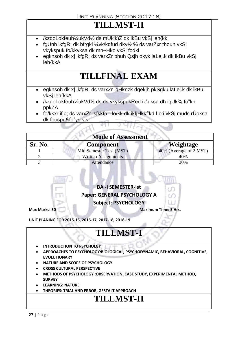### **TILLMST-II**

- /kzqoLokfeuh¼ukVd½ ds mÙkjk)Z dk ikBu vkSj leh{kk
- fgUnh lkfgR; dk bfrgkl ¼vk/kqfud dky½ % ds varZxr thouh vkSj vkykspuk fo/kkvksa dk mn~Hko vkSj fodkl
- egknsoh dk x| lkfgR; ds varxZr phuh Qsjh okyk laLej.k dk ikBu vkSj leh{kkA

### **TILLFINAL EXAM**

- egknsoh dk x| lkfgR; ds varxZr lqHknzk dqekjh pkSgku laLej.k dk ikBu vkSj leh{kkA
- /kzqoLokfeuh¼ukVd½ ds ds vkykspukRed iz"uksa dh iqUk% fo"kn ppkZA
- fo/kkxr ifjp; ds varxZr js[kkfp= fo/kk dk ikfjHkkf'kd Lo:i vkSj muds rÙoksa dk foospu&fo"ys'k.k

| <b>Mode of Assessment</b> |                            |                        |  |
|---------------------------|----------------------------|------------------------|--|
| <b>Sr. No.</b>            | <b>Component</b>           | <b>Weightage</b>       |  |
|                           | Mid Semester Test (MST)    | 40% (Average of 2 MST) |  |
|                           | <b>Written Assignments</b> | 40%                    |  |
|                           | Attendance                 | 20%                    |  |



**UNIT PLANING FOR 2015-16, 2016-17, 2017-18, 2018-19**

### **TILLMST-**

- **INTRODUCTION TO PSYCHOLGY**
- **APPROACHES TO PSYCHOLOGY:BIOLOGICAL, PSYCHODYNAMIC, BEHAVIORAL, COGNITIVE, EVOLUTIONARY**
- **NATURE AND SCOPE OF PSYCHOLOGY**
- **CROSS CULTURAL PERSPECTIVE**
- **METHODS OF PSYCHOLOGY :OBSERVATION, CASE STUDY, EXPERIMENTAL METHOD, SURVEY**
- **LEARNING: NATURE**
- **THEORIES: TRIAL AND ERROR, GESTALT APPROACH**

### **TILLMST-II**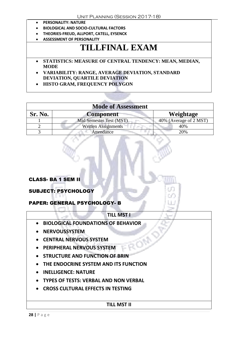- **PERSONALITY: NATURE**
- **BIOLOGICAL AND SOCIO-CULTURAL FACTORS**
- **THEORIES-FREUD, ALLPORT, CATELL, EYSENCK**
- **ASSESSMENT OF PERSONALITY**

### **TILLFINAL EXAM**

 **STATISTICS: MEASURE OF CENTRAL TENDENCY: MEAN, MEDIAN, MODE**

 **VARIABILITY: RANGE, AVERAGE DEVIATION, STANDARD DEVIATION, QUARTILE DEVIATION**

**HISTO GRAM, FREQUENCY POLYGON**

#### **Mode of Assessment**

| Sr. No. | <b>Component</b>           | Weightage              |
|---------|----------------------------|------------------------|
|         | Mid Semester Test (MST)    | 40% (Average of 2 MST) |
|         | <b>Written Assignments</b> | 40%                    |
|         | Attendance                 | 20%                    |

#### CLASS- BA 1 SEM II

#### SUBJECT: PSYCHOLOGY

#### PAPER: GENERAL PSYCHOLOGY- B

| <b>TILL MST I</b>                            |  |  |
|----------------------------------------------|--|--|
| <b>BIOLOGICAL FOUNDATIONS OF BEHAVIOR</b>    |  |  |
| <b>NERVOUSSYSTEM</b>                         |  |  |
| <b>CENTRAL NERVOUS SYSTEM</b>                |  |  |
| <b>PERIPHERAL NERVOUS SYSTEM</b>             |  |  |
| <b>STRUCTURE AND FUNCTION OF BRIN</b>        |  |  |
| THE ENDOCRINE SYSTEM AND ITS FUNCTION        |  |  |
| <b>INELLIGENCE: NATURE</b>                   |  |  |
| <b>TYPES OF TESTS: VERBAL AND NON VERBAL</b> |  |  |
| <b>CROSS CULTURAL EFFECTS IN TESTING</b>     |  |  |
|                                              |  |  |
| TILL MST II                                  |  |  |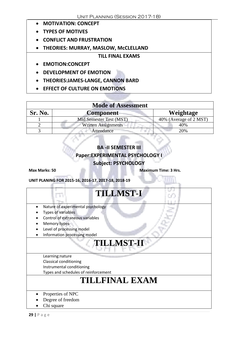- **MOTIVATION: CONCEPT**
- **TYPES OF MOTIVES**
- **CONFLICT AND FRUSTRATION**
- **THEORIES: MURRAY, MASLOW, McCLELLAND**

#### **TILL FINAL EXAMS**

- **EMOTION:CONCEPT**
- **DEVELOPMENT OF EMOTION**
- **THEORIES:JAMES-LANGE, CANNON BARD**
- **EFFECT OF CULTURE ON EMOTIONS**

| <b>Mode of Assessment</b> |                            |                        |  |
|---------------------------|----------------------------|------------------------|--|
| Sr. No.                   | <b>Component</b>           | Weightage              |  |
|                           | Mid Semester Test (MST)    | 40% (Average of 2 MST) |  |
|                           | <b>Written Assignments</b> | 40%                    |  |
|                           | Attendance                 | 20%                    |  |

### **BA -II SEMESTER III Paper:EXPERIMENTAL PSYCHOLOGY I**

#### **Subject: PSYCHOLOGY**

**Max Marks: 50 Maximum Time: 3 Hrs.**

**UNIT PLANING FOR 2015-16, 2016-17, 2017-18, 2018-19**

# **TILLMST-I**

- Nature of experimental psychology
- Types of variables
- Control of extraneous variables
- Memory:types
- Level of processing model
- Information processing model

# **TILLMST-II**

Learning:nature Classical conditioning Instrumental conditioning

Types and schedules of reinforcement

### **TILLFINAL EXAM**

- Properties of NPC
- Degree of freedom
- Chi square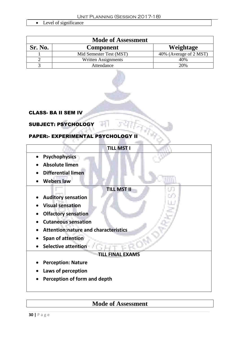• Level of significance

| <b>Mode of Assessment</b> |                         |                        |
|---------------------------|-------------------------|------------------------|
| Sr. No.                   | <b>Component</b>        | Weightage              |
|                           | Mid Semester Test (MST) | 40% (Average of 2 MST) |
|                           | Written Assignments     | 40%                    |
|                           | Attendance              | 20%                    |



3 O

#### CLASS- BA II SEM IV

#### SUBJECT: PSYCHOLOGY

d.

×.

#### PAPER:- EXPERIMENTAL PSYCHOLOGY S.

|                                             | <b>TILL MST I</b>  |  |
|---------------------------------------------|--------------------|--|
| <b>Psychophysics</b><br>$\bullet$           |                    |  |
| <b>Absolute limen</b>                       |                    |  |
| <b>Differential limen</b>                   |                    |  |
| <b>Webers law</b>                           |                    |  |
|                                             | <b>TILL MST II</b> |  |
| <b>Auditory sensation</b>                   |                    |  |
| <b>Visual sensation</b>                     |                    |  |
| <b>Olfactory sensation</b>                  |                    |  |
| <b>Cutaneous sensation</b>                  |                    |  |
| <b>Attention:nature and characteristics</b> |                    |  |
| <b>Span of attention</b>                    |                    |  |
| <b>Selective attention</b>                  |                    |  |
| <b>TILL FINAL EXAMS</b>                     |                    |  |
| <b>Perception: Nature</b>                   |                    |  |
| Laws of perception                          |                    |  |
| Perception of form and depth                |                    |  |
|                                             |                    |  |

### **Mode of Assessment**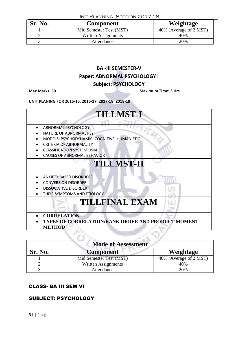| UNIT PLANNING (SESSION 2017-18) |                         |                        |
|---------------------------------|-------------------------|------------------------|
| Sr. No.                         | <b>Component</b>        | Weightage              |
|                                 | Mid Semester Test (MST) | 40% (Average of 2 MST) |
|                                 | Written Assignments     | 40%                    |
|                                 | Attendance              | 20%                    |

### **BA -III SEMESTER-V Paper: ABNORMAL PSYCHOLOGY I**

#### **Subject: PSYCHOLOGY**

**Max Marks: 50 Maximum Time: 3 Hrs.**

**UNIT PLANING FOR 2015-16, 2016-17, 2017-18, 2018-19**



| <b>Mode of Assessment</b> |                            |                        |  |
|---------------------------|----------------------------|------------------------|--|
| Sr. No.                   | <b>Component</b>           | Weightage              |  |
|                           | Mid Semester Test (MST)    | 40% (Average of 2 MST) |  |
|                           | <b>Written Assignments</b> | 40%                    |  |
|                           | Attendance                 | 20%                    |  |

#### CLASS- BA III SEM VI

#### SUBJECT: PSYCHOLOGY